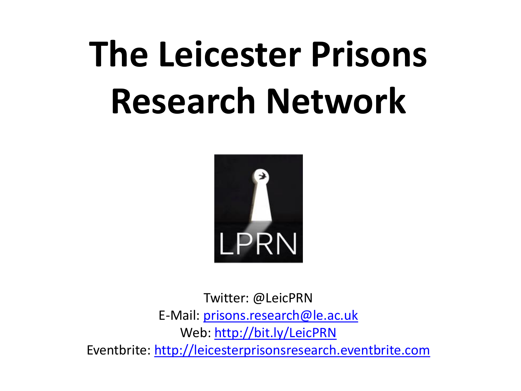## **The Leicester Prisons Research Network**



Twitter: @LeicPRN E-Mail: [prisons.research@le.ac.uk](mailto:prisons.research@le.ac.uk) Web: [http://bit.ly/LeicPRN](https://eur03.safelinks.protection.outlook.com/?url=http://bit.ly/LeicPRN&data=02|01|mjt46@leicester.ac.uk|8f6e1a732f97487d833908d74ffc7ae7|aebecd6a31d44b0195ce8274afe853d9|0|0|637065818136830866&sdata=fZkcEaMkljAbA6crYofbnemy4qGQkfsfpqj+ywcIxes=&reserved=0) Eventbrite: [http://leicesterprisonsresearch.eventbrite.com](http://leicesterprisonsresearch.eventbrite.com/)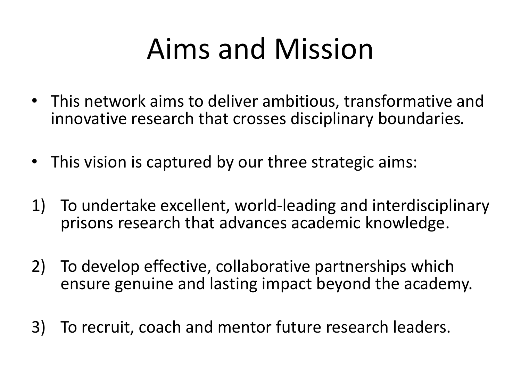## Aims and Mission

- This network aims to deliver ambitious, transformative and innovative research that crosses disciplinary boundaries.
- This vision is captured by our three strategic aims:
- 1) To undertake excellent, world-leading and interdisciplinary prisons research that advances academic knowledge.
- 2) To develop effective, collaborative partnerships which ensure genuine and lasting impact beyond the academy.
- 3) To recruit, coach and mentor future research leaders.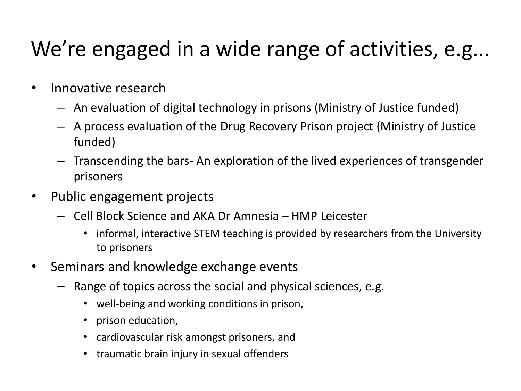## We're engaged in a wide range of activities, e.g...

- Innovative research
	- An evaluation of digital technology in prisons (Ministry of Justice funded)
	- A process evaluation of the Drug Recovery Prison project (Ministry of Justice funded)
	- Transcending the bars- An exploration of the lived experiences of transgender prisoners
- Public engagement projects
	- Cell Block Science and AKA Dr Amnesia HMP Leicester
		- informal, interactive STEM teaching is provided by researchers from the University to prisoners
- Seminars and knowledge exchange events
	- Range of topics across the social and physical sciences, e.g.
		- well-being and working conditions in prison,
		- prison education,
		- cardiovascular risk amongst prisoners, and
		- traumatic brain injury in sexual offenders